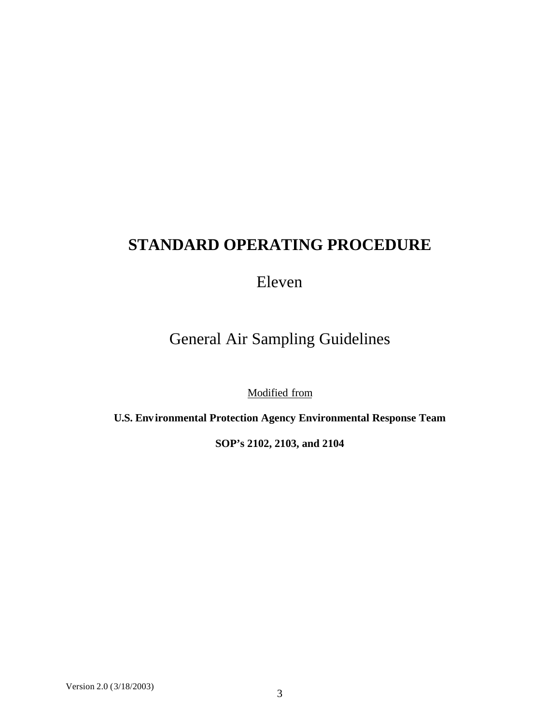# **STANDARD OPERATING PROCEDURE**

Eleven

General Air Sampling Guidelines

Modified from

**U.S. Environmental Protection Agency Environmental Response Team**

**SOP's 2102, 2103, and 2104**

Version 2.0 (3/18/2003)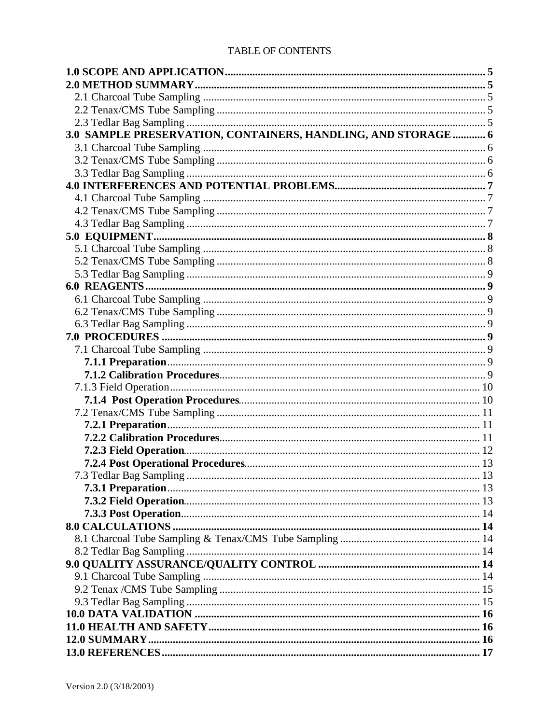#### **TABLE OF CONTENTS**

| 3.0 SAMPLE PRESERVATION, CONTAINERS, HANDLING, AND STORAGE  6 |  |
|---------------------------------------------------------------|--|
|                                                               |  |
|                                                               |  |
|                                                               |  |
|                                                               |  |
|                                                               |  |
|                                                               |  |
|                                                               |  |
|                                                               |  |
|                                                               |  |
|                                                               |  |
|                                                               |  |
|                                                               |  |
|                                                               |  |
|                                                               |  |
|                                                               |  |
|                                                               |  |
|                                                               |  |
|                                                               |  |
|                                                               |  |
|                                                               |  |
|                                                               |  |
|                                                               |  |
|                                                               |  |
|                                                               |  |
|                                                               |  |
|                                                               |  |
|                                                               |  |
|                                                               |  |
|                                                               |  |
|                                                               |  |
|                                                               |  |
|                                                               |  |
|                                                               |  |
|                                                               |  |
|                                                               |  |
|                                                               |  |
|                                                               |  |
|                                                               |  |
|                                                               |  |
|                                                               |  |
|                                                               |  |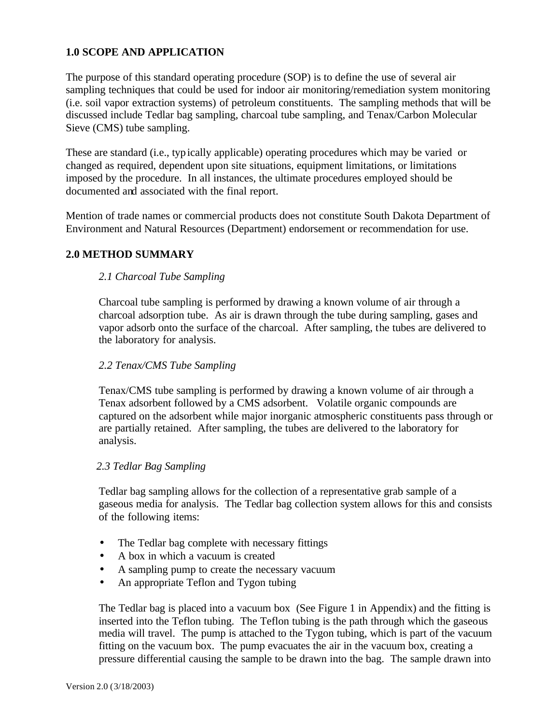## **1.0 SCOPE AND APPLICATION**

The purpose of this standard operating procedure (SOP) is to define the use of several air sampling techniques that could be used for indoor air monitoring/remediation system monitoring (i.e. soil vapor extraction systems) of petroleum constituents. The sampling methods that will be discussed include Tedlar bag sampling, charcoal tube sampling, and Tenax/Carbon Molecular Sieve (CMS) tube sampling.

These are standard (i.e., typically applicable) operating procedures which may be varied or changed as required, dependent upon site situations, equipment limitations, or limitations imposed by the procedure. In all instances, the ultimate procedures employed should be documented and associated with the final report.

Mention of trade names or commercial products does not constitute South Dakota Department of Environment and Natural Resources (Department) endorsement or recommendation for use.

#### **2.0 METHOD SUMMARY**

#### *2.1 Charcoal Tube Sampling*

Charcoal tube sampling is performed by drawing a known volume of air through a charcoal adsorption tube. As air is drawn through the tube during sampling, gases and vapor adsorb onto the surface of the charcoal. After sampling, the tubes are delivered to the laboratory for analysis.

#### *2.2 Tenax/CMS Tube Sampling*

Tenax/CMS tube sampling is performed by drawing a known volume of air through a Tenax adsorbent followed by a CMS adsorbent. Volatile organic compounds are captured on the adsorbent while major inorganic atmospheric constituents pass through or are partially retained. After sampling, the tubes are delivered to the laboratory for analysis.

#### *2.3 Tedlar Bag Sampling*

Tedlar bag sampling allows for the collection of a representative grab sample of a gaseous media for analysis. The Tedlar bag collection system allows for this and consists of the following items:

- The Tedlar bag complete with necessary fittings
- A box in which a vacuum is created
- A sampling pump to create the necessary vacuum
- An appropriate Teflon and Tygon tubing

The Tedlar bag is placed into a vacuum box (See Figure 1 in Appendix) and the fitting is inserted into the Teflon tubing. The Teflon tubing is the path through which the gaseous media will travel. The pump is attached to the Tygon tubing, which is part of the vacuum fitting on the vacuum box. The pump evacuates the air in the vacuum box, creating a pressure differential causing the sample to be drawn into the bag. The sample drawn into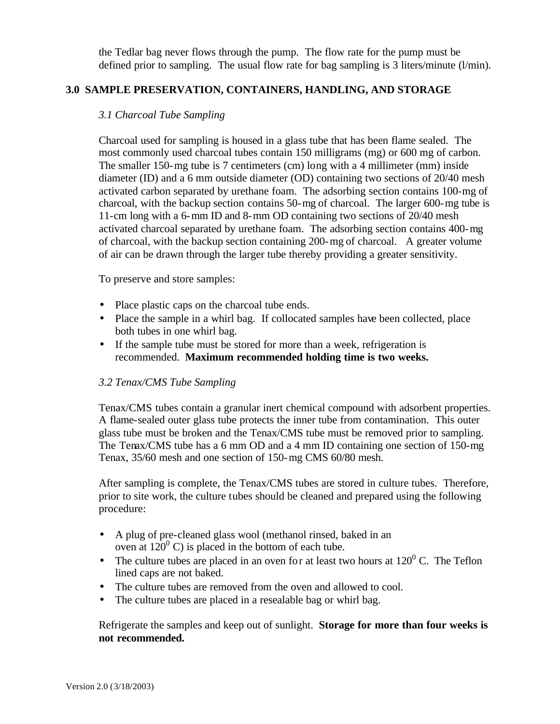the Tedlar bag never flows through the pump. The flow rate for the pump must be defined prior to sampling. The usual flow rate for bag sampling is 3 liters/minute (l/min).

### **3.0 SAMPLE PRESERVATION, CONTAINERS, HANDLING, AND STORAGE**

### *3.1 Charcoal Tube Sampling*

Charcoal used for sampling is housed in a glass tube that has been flame sealed. The most commonly used charcoal tubes contain 150 milligrams (mg) or 600 mg of carbon. The smaller 150-mg tube is 7 centimeters (cm) long with a 4 millimeter (mm) inside diameter (ID) and a 6 mm outside diameter (OD) containing two sections of 20/40 mesh activated carbon separated by urethane foam. The adsorbing section contains 100-mg of charcoal, with the backup section contains 50-mg of charcoal. The larger 600-mg tube is 11-cm long with a 6-mm ID and 8-mm OD containing two sections of 20/40 mesh activated charcoal separated by urethane foam. The adsorbing section contains 400-mg of charcoal, with the backup section containing 200-mg of charcoal. A greater volume of air can be drawn through the larger tube thereby providing a greater sensitivity.

To preserve and store samples:

- Place plastic caps on the charcoal tube ends.
- Place the sample in a whirl bag. If collocated samples have been collected, place both tubes in one whirl bag.
- If the sample tube must be stored for more than a week, refrigeration is recommended. **Maximum recommended holding time is two weeks.**

#### *3.2 Tenax/CMS Tube Sampling*

Tenax/CMS tubes contain a granular inert chemical compound with adsorbent properties. A flame-sealed outer glass tube protects the inner tube from contamination. This outer glass tube must be broken and the Tenax/CMS tube must be removed prior to sampling. The Tenax/CMS tube has a 6 mm OD and a 4 mm ID containing one section of 150-mg Tenax, 35/60 mesh and one section of 150-mg CMS 60/80 mesh.

After sampling is complete, the Tenax/CMS tubes are stored in culture tubes. Therefore, prior to site work, the culture tubes should be cleaned and prepared using the following procedure:

- A plug of pre-cleaned glass wool (methanol rinsed, baked in an oven at  $120^{\circ}$  C) is placed in the bottom of each tube.
- The culture tubes are placed in an oven for at least two hours at  $120^{\circ}$  C. The Teflon lined caps are not baked.
- The culture tubes are removed from the oven and allowed to cool.
- The culture tubes are placed in a resealable bag or whirl bag.

Refrigerate the samples and keep out of sunlight. **Storage for more than four weeks is not recommended.**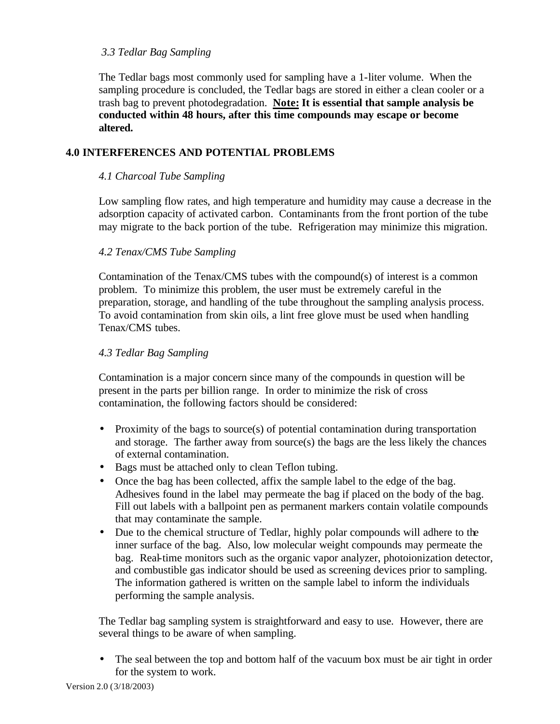### *3.3 Tedlar Bag Sampling*

The Tedlar bags most commonly used for sampling have a 1-liter volume. When the sampling procedure is concluded, the Tedlar bags are stored in either a clean cooler or a trash bag to prevent photodegradation. **Note: It is essential that sample analysis be conducted within 48 hours, after this time compounds may escape or become altered.**

## **4.0 INTERFERENCES AND POTENTIAL PROBLEMS**

### *4.1 Charcoal Tube Sampling*

Low sampling flow rates, and high temperature and humidity may cause a decrease in the adsorption capacity of activated carbon. Contaminants from the front portion of the tube may migrate to the back portion of the tube. Refrigeration may minimize this migration.

### *4.2 Tenax/CMS Tube Sampling*

Contamination of the Tenax/CMS tubes with the compound(s) of interest is a common problem. To minimize this problem, the user must be extremely careful in the preparation, storage, and handling of the tube throughout the sampling analysis process. To avoid contamination from skin oils, a lint free glove must be used when handling Tenax/CMS tubes.

#### *4.3 Tedlar Bag Sampling*

Contamination is a major concern since many of the compounds in question will be present in the parts per billion range. In order to minimize the risk of cross contamination, the following factors should be considered:

- Proximity of the bags to source(s) of potential contamination during transportation and storage. The farther away from source(s) the bags are the less likely the chances of external contamination.
- Bags must be attached only to clean Teflon tubing.
- Once the bag has been collected, affix the sample label to the edge of the bag. Adhesives found in the label may permeate the bag if placed on the body of the bag. Fill out labels with a ballpoint pen as permanent markers contain volatile compounds that may contaminate the sample.
- Due to the chemical structure of Tedlar, highly polar compounds will adhere to the inner surface of the bag. Also, low molecular weight compounds may permeate the bag. Real-time monitors such as the organic vapor analyzer, photoionization detector, and combustible gas indicator should be used as screening devices prior to sampling. The information gathered is written on the sample label to inform the individuals performing the sample analysis.

The Tedlar bag sampling system is straightforward and easy to use. However, there are several things to be aware of when sampling.

• The seal between the top and bottom half of the vacuum box must be air tight in order for the system to work.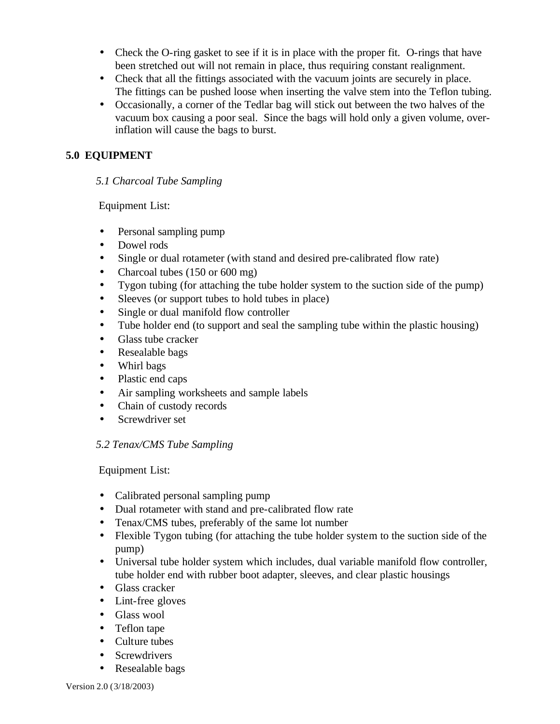- Check the O-ring gasket to see if it is in place with the proper fit. O-rings that have been stretched out will not remain in place, thus requiring constant realignment.
- Check that all the fittings associated with the vacuum joints are securely in place. The fittings can be pushed loose when inserting the valve stem into the Teflon tubing.
- Occasionally, a corner of the Tedlar bag will stick out between the two halves of the vacuum box causing a poor seal. Since the bags will hold only a given volume, overinflation will cause the bags to burst.

## **5.0 EQUIPMENT**

## *5.1 Charcoal Tube Sampling*

Equipment List:

- Personal sampling pump
- Dowel rods
- Single or dual rotameter (with stand and desired pre-calibrated flow rate)
- Charcoal tubes (150 or 600 mg)
- Tygon tubing (for attaching the tube holder system to the suction side of the pump)
- Sleeves (or support tubes to hold tubes in place)
- Single or dual manifold flow controller
- Tube holder end (to support and seal the sampling tube within the plastic housing)
- Glass tube cracker
- Resealable bags
- Whirl bags
- Plastic end caps
- Air sampling worksheets and sample labels
- Chain of custody records
- Screwdriver set

## *5.2 Tenax/CMS Tube Sampling*

Equipment List:

- Calibrated personal sampling pump
- Dual rotameter with stand and pre-calibrated flow rate
- Tenax/CMS tubes, preferably of the same lot number
- Flexible Tygon tubing (for attaching the tube holder system to the suction side of the pump)
- Universal tube holder system which includes, dual variable manifold flow controller, tube holder end with rubber boot adapter, sleeves, and clear plastic housings
- Glass cracker
- Lint-free gloves
- Glass wool
- Teflon tape
- Culture tubes
- Screwdrivers
- Resealable bags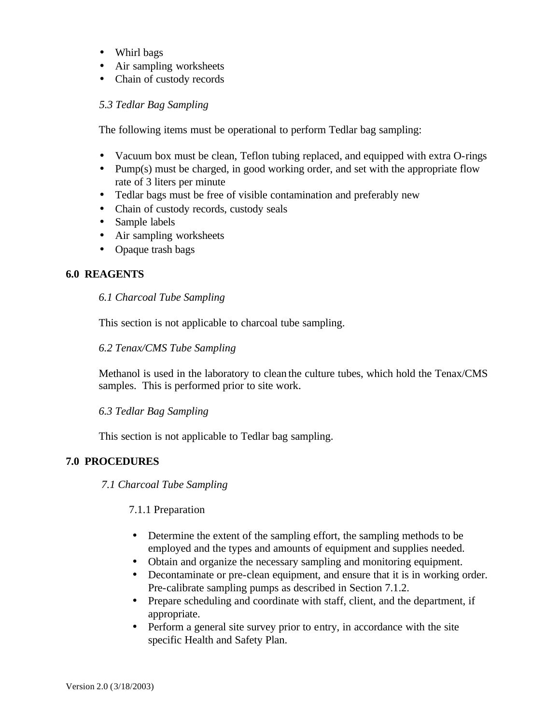- Whirl bags
- Air sampling worksheets
- Chain of custody records

#### *5.3 Tedlar Bag Sampling*

The following items must be operational to perform Tedlar bag sampling:

- Vacuum box must be clean, Teflon tubing replaced, and equipped with extra O-rings
- Pump(s) must be charged, in good working order, and set with the appropriate flow rate of 3 liters per minute
- Tedlar bags must be free of visible contamination and preferably new
- Chain of custody records, custody seals
- Sample labels
- Air sampling worksheets
- Opaque trash bags

### **6.0 REAGENTS**

#### *6.1 Charcoal Tube Sampling*

This section is not applicable to charcoal tube sampling.

#### *6.2 Tenax/CMS Tube Sampling*

Methanol is used in the laboratory to clean the culture tubes, which hold the Tenax/CMS samples. This is performed prior to site work.

#### *6.3 Tedlar Bag Sampling*

This section is not applicable to Tedlar bag sampling.

## **7.0 PROCEDURES**

*7.1 Charcoal Tube Sampling*

7.1.1 Preparation

- Determine the extent of the sampling effort, the sampling methods to be employed and the types and amounts of equipment and supplies needed.
- Obtain and organize the necessary sampling and monitoring equipment.
- Decontaminate or pre-clean equipment, and ensure that it is in working order. Pre-calibrate sampling pumps as described in Section 7.1.2.
- Prepare scheduling and coordinate with staff, client, and the department, if appropriate.
- Perform a general site survey prior to entry, in accordance with the site specific Health and Safety Plan.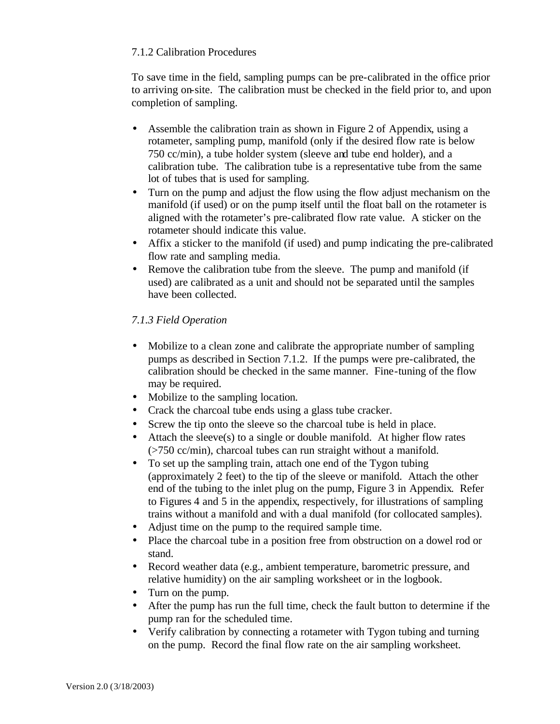## 7.1.2 Calibration Procedures

To save time in the field, sampling pumps can be pre-calibrated in the office prior to arriving on-site. The calibration must be checked in the field prior to, and upon completion of sampling.

- Assemble the calibration train as shown in Figure 2 of Appendix, using a rotameter, sampling pump, manifold (only if the desired flow rate is below 750 cc/min), a tube holder system (sleeve and tube end holder), and a calibration tube. The calibration tube is a representative tube from the same lot of tubes that is used for sampling.
- Turn on the pump and adjust the flow using the flow adjust mechanism on the manifold (if used) or on the pump itself until the float ball on the rotameter is aligned with the rotameter's pre-calibrated flow rate value. A sticker on the rotameter should indicate this value.
- Affix a sticker to the manifold (if used) and pump indicating the pre-calibrated flow rate and sampling media.
- Remove the calibration tube from the sleeve. The pump and manifold (if used) are calibrated as a unit and should not be separated until the samples have been collected.

## *7.1.3 Field Operation*

- Mobilize to a clean zone and calibrate the appropriate number of sampling pumps as described in Section 7.1.2. If the pumps were pre-calibrated, the calibration should be checked in the same manner. Fine-tuning of the flow may be required.
- Mobilize to the sampling location.
- Crack the charcoal tube ends using a glass tube cracker.
- Screw the tip onto the sleeve so the charcoal tube is held in place.
- Attach the sleeve(s) to a single or double manifold. At higher flow rates (>750 cc/min), charcoal tubes can run straight without a manifold.
- To set up the sampling train, attach one end of the Tygon tubing (approximately 2 feet) to the tip of the sleeve or manifold. Attach the other end of the tubing to the inlet plug on the pump, Figure 3 in Appendix. Refer to Figures 4 and 5 in the appendix, respectively, for illustrations of sampling trains without a manifold and with a dual manifold (for collocated samples).
- Adjust time on the pump to the required sample time.
- Place the charcoal tube in a position free from obstruction on a dowel rod or stand.
- Record weather data (e.g., ambient temperature, barometric pressure, and relative humidity) on the air sampling worksheet or in the logbook.
- Turn on the pump.
- After the pump has run the full time, check the fault button to determine if the pump ran for the scheduled time.
- Verify calibration by connecting a rotameter with Tygon tubing and turning on the pump. Record the final flow rate on the air sampling worksheet.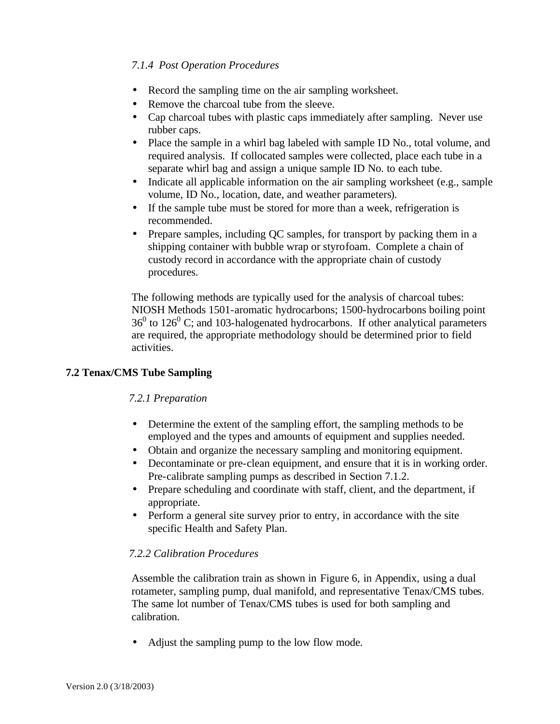## *7.1.4 Post Operation Procedures*

- Record the sampling time on the air sampling worksheet.
- Remove the charcoal tube from the sleeve.
- Cap charcoal tubes with plastic caps immediately after sampling. Never use rubber caps.
- Place the sample in a whirl bag labeled with sample ID No., total volume, and required analysis. If collocated samples were collected, place each tube in a separate whirl bag and assign a unique sample ID No. to each tube.
- Indicate all applicable information on the air sampling worksheet (e.g., sample volume, ID No., location, date, and weather parameters).
- If the sample tube must be stored for more than a week, refrigeration is recommended.
- Prepare samples, including QC samples, for transport by packing them in a shipping container with bubble wrap or styrofoam. Complete a chain of custody record in accordance with the appropriate chain of custody procedures.

The following methods are typically used for the analysis of charcoal tubes: NIOSH Methods 1501-aromatic hydrocarbons; 1500-hydrocarbons boiling point  $36<sup>0</sup>$  to  $126<sup>0</sup>$  C; and 103-halogenated hydrocarbons. If other analytical parameters are required, the appropriate methodology should be determined prior to field activities.

## **7.2 Tenax/CMS Tube Sampling**

#### *7.2.1 Preparation*

- Determine the extent of the sampling effort, the sampling methods to be employed and the types and amounts of equipment and supplies needed.
- Obtain and organize the necessary sampling and monitoring equipment.
- Decontaminate or pre-clean equipment, and ensure that it is in working order. Pre-calibrate sampling pumps as described in Section 7.1.2.
- Prepare scheduling and coordinate with staff, client, and the department, if appropriate.
- Perform a general site survey prior to entry, in accordance with the site specific Health and Safety Plan.

#### *7.2.2 Calibration Procedures*

Assemble the calibration train as shown in Figure 6, in Appendix, using a dual rotameter, sampling pump, dual manifold, and representative Tenax/CMS tubes. The same lot number of Tenax/CMS tubes is used for both sampling and calibration.

• Adjust the sampling pump to the low flow mode.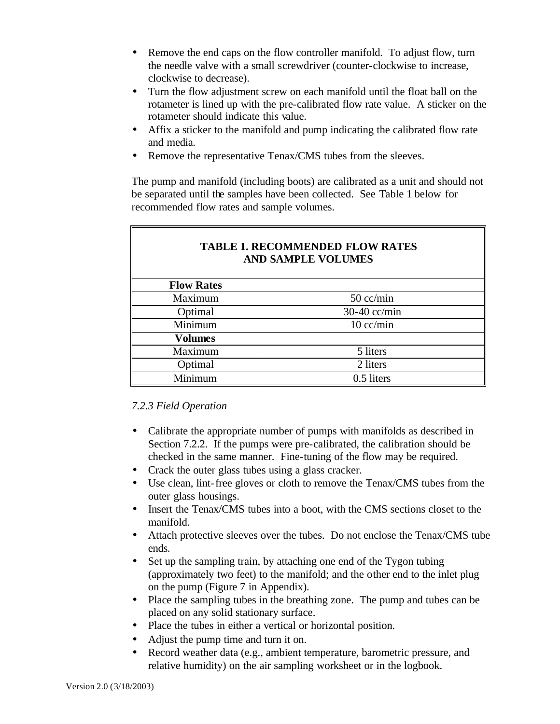- Remove the end caps on the flow controller manifold. To adjust flow, turn the needle valve with a small screwdriver (counter-clockwise to increase, clockwise to decrease).
- Turn the flow adjustment screw on each manifold until the float ball on the rotameter is lined up with the pre-calibrated flow rate value. A sticker on the rotameter should indicate this value.
- Affix a sticker to the manifold and pump indicating the calibrated flow rate and media.
- Remove the representative Tenax/CMS tubes from the sleeves.

The pump and manifold (including boots) are calibrated as a unit and should not be separated until the samples have been collected. See Table 1 below for recommended flow rates and sample volumes.

| <b>TABLE 1. RECOMMENDED FLOW RATES</b><br><b>AND SAMPLE VOLUMES</b> |              |  |
|---------------------------------------------------------------------|--------------|--|
| <b>Flow Rates</b>                                                   |              |  |
| Maximum                                                             | $50$ cc/min  |  |
| Optimal                                                             | 30-40 cc/min |  |
| Minimum                                                             | $10$ cc/min  |  |
| <b>Volumes</b>                                                      |              |  |
| Maximum                                                             | 5 liters     |  |
| Optimal                                                             | 2 liters     |  |
| Minimum                                                             | 0.5 liters   |  |

## *7.2.3 Field Operation*

- Calibrate the appropriate number of pumps with manifolds as described in Section 7.2.2. If the pumps were pre-calibrated, the calibration should be checked in the same manner. Fine-tuning of the flow may be required.
- Crack the outer glass tubes using a glass cracker.
- Use clean, lint-free gloves or cloth to remove the Tenax/CMS tubes from the outer glass housings.
- Insert the Tenax/CMS tubes into a boot, with the CMS sections closet to the manifold.
- Attach protective sleeves over the tubes. Do not enclose the Tenax/CMS tube ends.
- Set up the sampling train, by attaching one end of the Tygon tubing (approximately two feet) to the manifold; and the other end to the inlet plug on the pump (Figure 7 in Appendix).
- Place the sampling tubes in the breathing zone. The pump and tubes can be placed on any solid stationary surface.
- Place the tubes in either a vertical or horizontal position.
- Adjust the pump time and turn it on.
- Record weather data (e.g., ambient temperature, barometric pressure, and relative humidity) on the air sampling worksheet or in the logbook.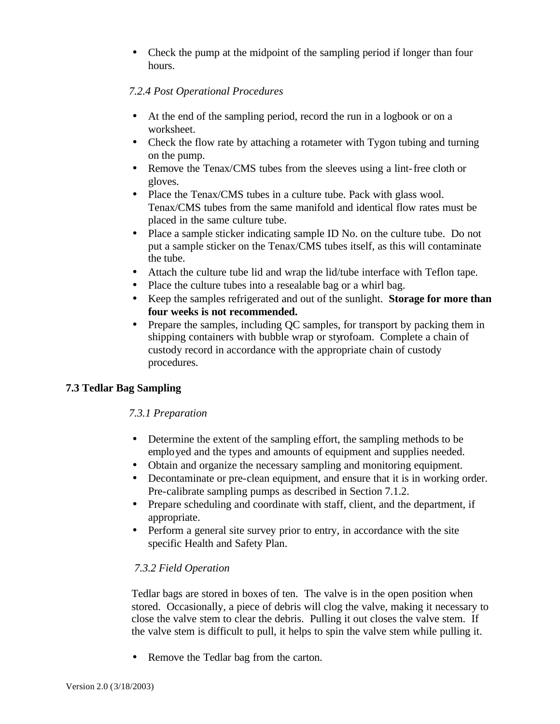• Check the pump at the midpoint of the sampling period if longer than four hours.

## *7.2.4 Post Operational Procedures*

- At the end of the sampling period, record the run in a logbook or on a worksheet.
- Check the flow rate by attaching a rotameter with Tygon tubing and turning on the pump.
- Remove the Tenax/CMS tubes from the sleeves using a lint-free cloth or gloves.
- Place the Tenax/CMS tubes in a culture tube. Pack with glass wool. Tenax/CMS tubes from the same manifold and identical flow rates must be placed in the same culture tube.
- Place a sample sticker indicating sample ID No. on the culture tube. Do not put a sample sticker on the Tenax/CMS tubes itself, as this will contaminate the tube.
- Attach the culture tube lid and wrap the lid/tube interface with Teflon tape.
- Place the culture tubes into a resealable bag or a whirl bag.
- Keep the samples refrigerated and out of the sunlight. **Storage for more than four weeks is not recommended.**
- Prepare the samples, including QC samples, for transport by packing them in shipping containers with bubble wrap or styrofoam. Complete a chain of custody record in accordance with the appropriate chain of custody procedures.

## **7.3 Tedlar Bag Sampling**

## *7.3.1 Preparation*

- Determine the extent of the sampling effort, the sampling methods to be employed and the types and amounts of equipment and supplies needed.
- Obtain and organize the necessary sampling and monitoring equipment.
- Decontaminate or pre-clean equipment, and ensure that it is in working order. Pre-calibrate sampling pumps as described in Section 7.1.2.
- Prepare scheduling and coordinate with staff, client, and the department, if appropriate.
- Perform a general site survey prior to entry, in accordance with the site specific Health and Safety Plan.

## *7.3.2 Field Operation*

Tedlar bags are stored in boxes of ten. The valve is in the open position when stored. Occasionally, a piece of debris will clog the valve, making it necessary to close the valve stem to clear the debris. Pulling it out closes the valve stem. If the valve stem is difficult to pull, it helps to spin the valve stem while pulling it.

• Remove the Tedlar bag from the carton.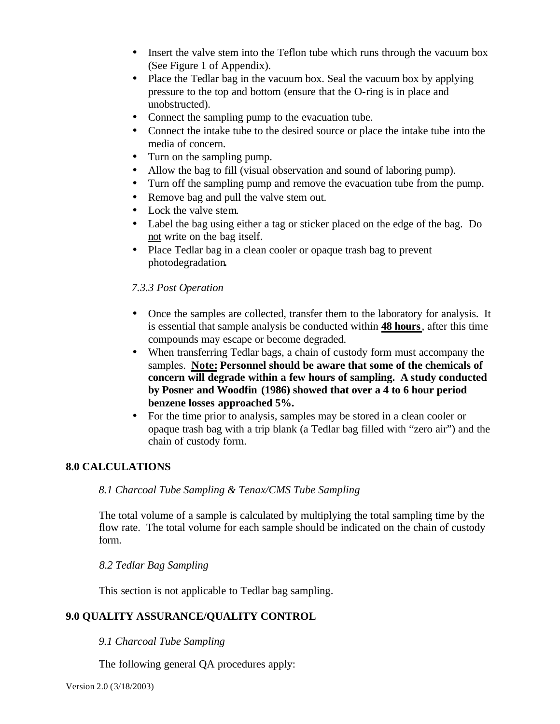- Insert the valve stem into the Teflon tube which runs through the vacuum box (See Figure 1 of Appendix).
- Place the Tedlar bag in the vacuum box. Seal the vacuum box by applying pressure to the top and bottom (ensure that the O-ring is in place and unobstructed).
- Connect the sampling pump to the evacuation tube.
- Connect the intake tube to the desired source or place the intake tube into the media of concern.
- Turn on the sampling pump.
- Allow the bag to fill (visual observation and sound of laboring pump).
- Turn off the sampling pump and remove the evacuation tube from the pump.
- Remove bag and pull the valve stem out.
- Lock the valve stem.
- Label the bag using either a tag or sticker placed on the edge of the bag. Do not write on the bag itself.
- Place Tedlar bag in a clean cooler or opaque trash bag to prevent photodegradation**.**

### *7.3.3 Post Operation*

- Once the samples are collected, transfer them to the laboratory for analysis. It is essential that sample analysis be conducted within **48 hours**, after this time compounds may escape or become degraded.
- When transferring Tedlar bags, a chain of custody form must accompany the samples. **Note: Personnel should be aware that some of the chemicals of concern will degrade within a few hours of sampling. A study conducted by Posner and Woodfin (1986) showed that over a 4 to 6 hour period benzene losses approached 5%.**
- For the time prior to analysis, samples may be stored in a clean cooler or opaque trash bag with a trip blank (a Tedlar bag filled with "zero air") and the chain of custody form.

#### **8.0 CALCULATIONS**

### *8.1 Charcoal Tube Sampling & Tenax/CMS Tube Sampling*

The total volume of a sample is calculated by multiplying the total sampling time by the flow rate. The total volume for each sample should be indicated on the chain of custody form.

#### *8.2 Tedlar Bag Sampling*

This section is not applicable to Tedlar bag sampling.

#### **9.0 QUALITY ASSURANCE/QUALITY CONTROL**

#### *9.1 Charcoal Tube Sampling*

The following general QA procedures apply: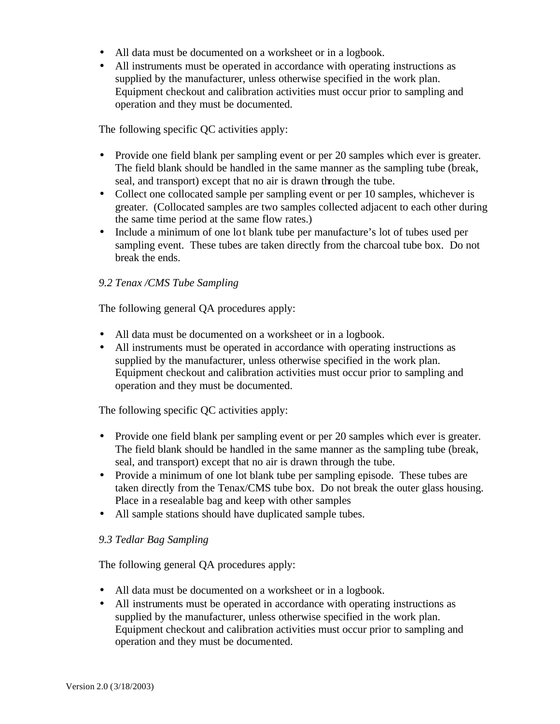- All data must be documented on a worksheet or in a logbook.
- All instruments must be operated in accordance with operating instructions as supplied by the manufacturer, unless otherwise specified in the work plan. Equipment checkout and calibration activities must occur prior to sampling and operation and they must be documented.

The following specific QC activities apply:

- Provide one field blank per sampling event or per 20 samples which ever is greater. The field blank should be handled in the same manner as the sampling tube (break, seal, and transport) except that no air is drawn through the tube.
- Collect one collocated sample per sampling event or per 10 samples, whichever is greater. (Collocated samples are two samples collected adjacent to each other during the same time period at the same flow rates.)
- Include a minimum of one lot blank tube per manufacture's lot of tubes used per sampling event. These tubes are taken directly from the charcoal tube box. Do not break the ends.

## *9.2 Tenax /CMS Tube Sampling*

The following general QA procedures apply:

- All data must be documented on a worksheet or in a logbook.
- All instruments must be operated in accordance with operating instructions as supplied by the manufacturer, unless otherwise specified in the work plan. Equipment checkout and calibration activities must occur prior to sampling and operation and they must be documented.

The following specific QC activities apply:

- Provide one field blank per sampling event or per 20 samples which ever is greater. The field blank should be handled in the same manner as the sampling tube (break, seal, and transport) except that no air is drawn through the tube.
- Provide a minimum of one lot blank tube per sampling episode. These tubes are taken directly from the Tenax/CMS tube box. Do not break the outer glass housing. Place in a resealable bag and keep with other samples
- All sample stations should have duplicated sample tubes.

#### *9.3 Tedlar Bag Sampling*

The following general QA procedures apply:

- All data must be documented on a worksheet or in a logbook.
- All instruments must be operated in accordance with operating instructions as supplied by the manufacturer, unless otherwise specified in the work plan. Equipment checkout and calibration activities must occur prior to sampling and operation and they must be documented.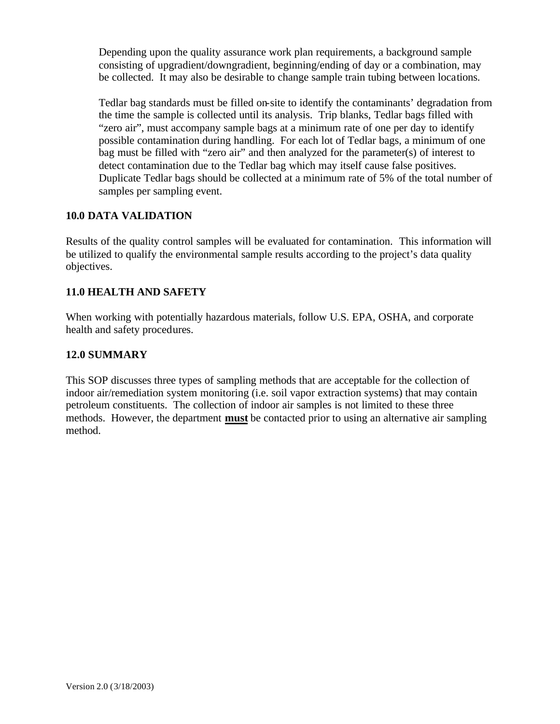Depending upon the quality assurance work plan requirements, a background sample consisting of upgradient/downgradient, beginning/ending of day or a combination, may be collected. It may also be desirable to change sample train tubing between locations.

Tedlar bag standards must be filled on-site to identify the contaminants' degradation from the time the sample is collected until its analysis. Trip blanks, Tedlar bags filled with "zero air", must accompany sample bags at a minimum rate of one per day to identify possible contamination during handling. For each lot of Tedlar bags, a minimum of one bag must be filled with "zero air" and then analyzed for the parameter(s) of interest to detect contamination due to the Tedlar bag which may itself cause false positives. Duplicate Tedlar bags should be collected at a minimum rate of 5% of the total number of samples per sampling event.

## **10.0 DATA VALIDATION**

Results of the quality control samples will be evaluated for contamination. This information will be utilized to qualify the environmental sample results according to the project's data quality objectives.

## **11.0 HEALTH AND SAFETY**

When working with potentially hazardous materials, follow U.S. EPA, OSHA, and corporate health and safety procedures.

## **12.0 SUMMARY**

This SOP discusses three types of sampling methods that are acceptable for the collection of indoor air/remediation system monitoring (i.e. soil vapor extraction systems) that may contain petroleum constituents. The collection of indoor air samples is not limited to these three methods. However, the department **must** be contacted prior to using an alternative air sampling method.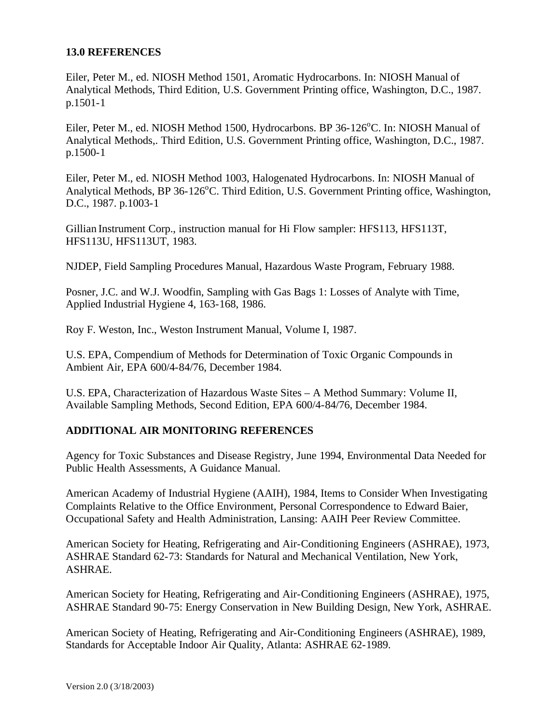#### **13.0 REFERENCES**

Eiler, Peter M., ed. NIOSH Method 1501, Aromatic Hydrocarbons. In: NIOSH Manual of Analytical Methods, Third Edition, U.S. Government Printing office, Washington, D.C., 1987. p.1501-1

Eiler, Peter M., ed. NIOSH Method 1500, Hydrocarbons. BP 36-126<sup>o</sup>C. In: NIOSH Manual of Analytical Methods,. Third Edition, U.S. Government Printing office, Washington, D.C., 1987. p.1500-1

Eiler, Peter M., ed. NIOSH Method 1003, Halogenated Hydrocarbons. In: NIOSH Manual of Analytical Methods, BP 36-126°C. Third Edition, U.S. Government Printing office, Washington, D.C., 1987. p.1003-1

Gillian Instrument Corp., instruction manual for Hi Flow sampler: HFS113, HFS113T, HFS113U, HFS113UT, 1983.

NJDEP, Field Sampling Procedures Manual, Hazardous Waste Program, February 1988.

Posner, J.C. and W.J. Woodfin, Sampling with Gas Bags 1: Losses of Analyte with Time, Applied Industrial Hygiene 4, 163-168, 1986.

Roy F. Weston, Inc., Weston Instrument Manual, Volume I, 1987.

U.S. EPA, Compendium of Methods for Determination of Toxic Organic Compounds in Ambient Air, EPA 600/4-84/76, December 1984.

U.S. EPA, Characterization of Hazardous Waste Sites – A Method Summary: Volume II, Available Sampling Methods, Second Edition, EPA 600/4-84/76, December 1984.

#### **ADDITIONAL AIR MONITORING REFERENCES**

Agency for Toxic Substances and Disease Registry, June 1994, Environmental Data Needed for Public Health Assessments, A Guidance Manual.

American Academy of Industrial Hygiene (AAIH), 1984, Items to Consider When Investigating Complaints Relative to the Office Environment, Personal Correspondence to Edward Baier, Occupational Safety and Health Administration, Lansing: AAIH Peer Review Committee.

American Society for Heating, Refrigerating and Air-Conditioning Engineers (ASHRAE), 1973, ASHRAE Standard 62-73: Standards for Natural and Mechanical Ventilation, New York, ASHRAE.

American Society for Heating, Refrigerating and Air-Conditioning Engineers (ASHRAE), 1975, ASHRAE Standard 90-75: Energy Conservation in New Building Design, New York, ASHRAE.

American Society of Heating, Refrigerating and Air-Conditioning Engineers (ASHRAE), 1989, Standards for Acceptable Indoor Air Quality, Atlanta: ASHRAE 62-1989.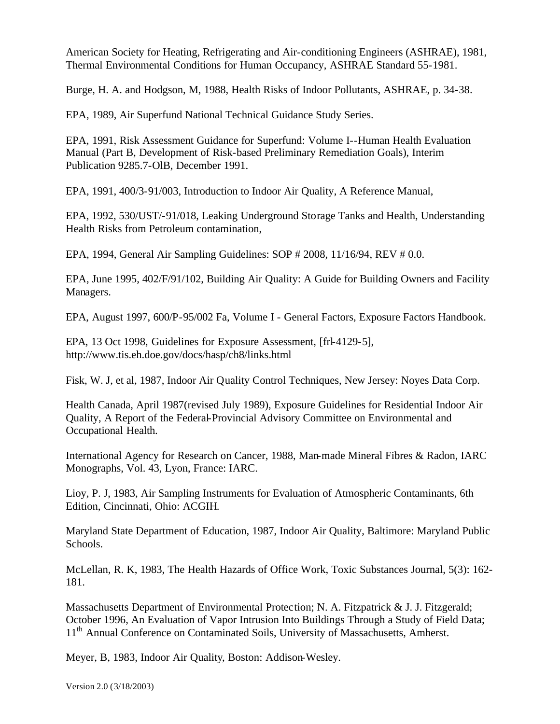American Society for Heating, Refrigerating and Air-conditioning Engineers (ASHRAE), 1981, Thermal Environmental Conditions for Human Occupancy, ASHRAE Standard 55-1981.

Burge, H. A. and Hodgson, M, 1988, Health Risks of Indoor Pollutants, ASHRAE, p. 34-38.

EPA, 1989, Air Superfund National Technical Guidance Study Series.

EPA, 1991, Risk Assessment Guidance for Superfund: Volume I--Human Health Evaluation Manual (Part B, Development of Risk-based Preliminary Remediation Goals), Interim Publication 9285.7-OlB, December 1991.

EPA, 1991, 400/3-91/003, Introduction to Indoor Air Quality, A Reference Manual,

EPA, 1992, 530/UST/-91/018, Leaking Underground Storage Tanks and Health, Understanding Health Risks from Petroleum contamination,

EPA, 1994, General Air Sampling Guidelines: SOP # 2008, 11/16/94, REV # 0.0.

EPA, June 1995, 402/F/91/102, Building Air Quality: A Guide for Building Owners and Facility Managers.

EPA, August 1997, 600/P-95/002 Fa, Volume I - General Factors, Exposure Factors Handbook.

EPA, 13 Oct 1998, Guidelines for Exposure Assessment, [frl-4129-5], http://www.tis.eh.doe.gov/docs/hasp/ch8/links.html

Fisk, W. J, et al, 1987, Indoor Air Quality Control Techniques, New Jersey: Noyes Data Corp.

Health Canada, April 1987(revised July 1989), Exposure Guidelines for Residential Indoor Air Quality, A Report of the Federal-Provincial Advisory Committee on Environmental and Occupational Health.

International Agency for Research on Cancer, 1988, Man-made Mineral Fibres & Radon, IARC Monographs, Vol. 43, Lyon, France: IARC.

Lioy, P. J, 1983, Air Sampling Instruments for Evaluation of Atmospheric Contaminants, 6th Edition, Cincinnati, Ohio: ACGIH.

Maryland State Department of Education, 1987, Indoor Air Quality, Baltimore: Maryland Public Schools.

McLellan, R. K, 1983, The Health Hazards of Office Work, Toxic Substances Journal, 5(3): 162- 181.

Massachusetts Department of Environmental Protection; N. A. Fitzpatrick & J. J. Fitzgerald; October 1996, An Evaluation of Vapor Intrusion Into Buildings Through a Study of Field Data; 11<sup>th</sup> Annual Conference on Contaminated Soils, University of Massachusetts, Amherst.

Meyer, B, 1983, Indoor Air Quality, Boston: Addison-Wesley.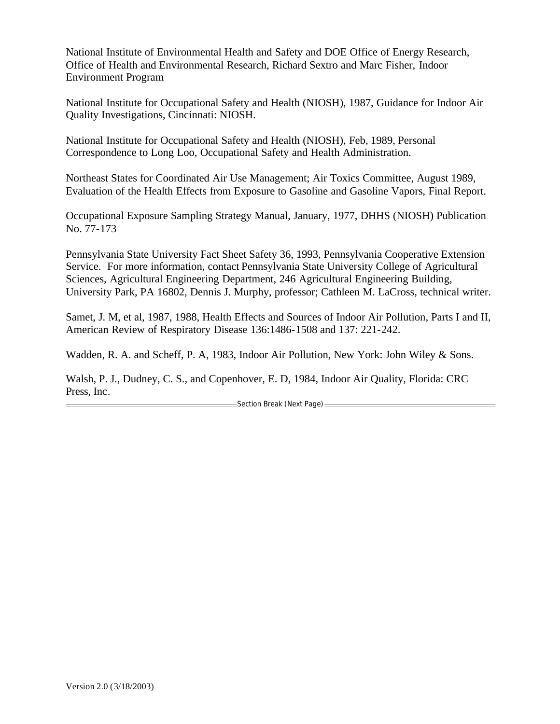National Institute of Environmental Health and Safety and DOE Office of Energy Research, Office of Health and Environmental Research, Richard Sextro and Marc Fisher, Indoor Environment Program

National Institute for Occupational Safety and Health (NIOSH), 1987, Guidance for Indoor Air Quality Investigations, Cincinnati: NIOSH.

National Institute for Occupational Safety and Health (NIOSH), Feb, 1989, Personal Correspondence to Long Loo, Occupational Safety and Health Administration.

Northeast States for Coordinated Air Use Management; Air Toxics Committee, August 1989, Evaluation of the Health Effects from Exposure to Gasoline and Gasoline Vapors, Final Report.

Occupational Exposure Sampling Strategy Manual, January, 1977, DHHS (NIOSH) Publication No. 77-173

Pennsylvania State University Fact Sheet Safety 36, 1993, Pennsylvania Cooperative Extension Service. For more information, contact Pennsylvania State University College of Agricultural Sciences, Agricultural Engineering Department, 246 Agricultural Engineering Building, University Park, PA 16802, Dennis J. Murphy, professor; Cathleen M. LaCross, technical writer.

Samet, J. M, et al, 1987, 1988, Health Effects and Sources of Indoor Air Pollution, Parts I and II, American Review of Respiratory Disease 136:1486-1508 and 137: 221-242.

Wadden, R. A. and Scheff, P. A, 1983, Indoor Air Pollution, New York: John Wiley & Sons.

Walsh, P. J., Dudney, C. S., and Copenhover, E. D, 1984, Indoor Air Quality, Florida: CRC Press, Inc.

Section Break (Next Page)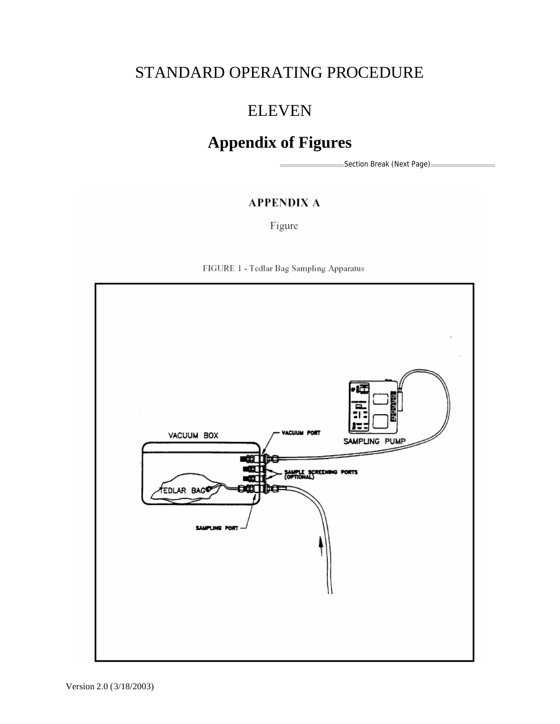# STANDARD OPERATING PROCEDURE

# ELEVEN

# **Appendix of Figures**

=Section Break (Next Page)=

# **APPENDIX A**

Figure



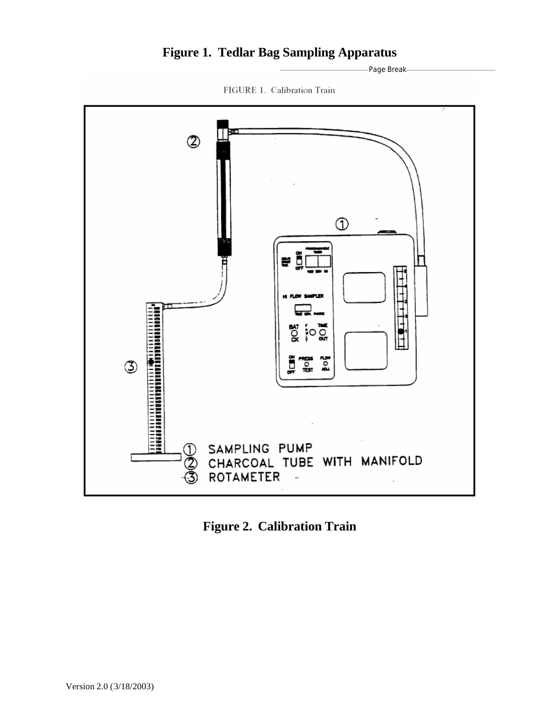# **Figure 1. Tedlar Bag Sampling Apparatus**

Page Break



FIGURE 1. Calibration Train

**Figure 2. Calibration Train**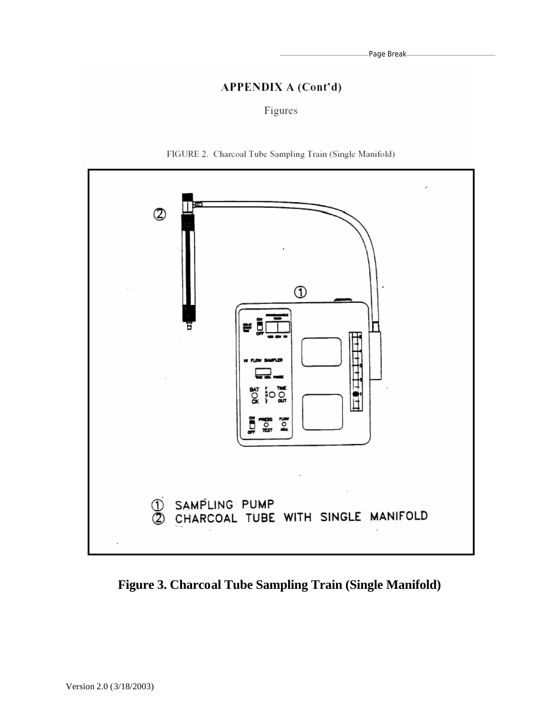# **APPENDIX A (Cont'd)**

## Figures





**Figure 3. Charcoal Tube Sampling Train (Single Manifold)**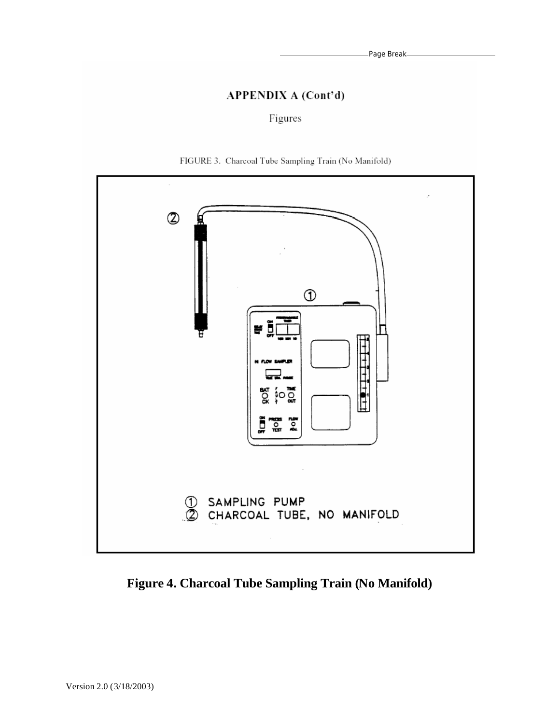# **APPENDIX A (Cont'd)**

Figures





**Figure 4. Charcoal Tube Sampling Train (No Manifold)**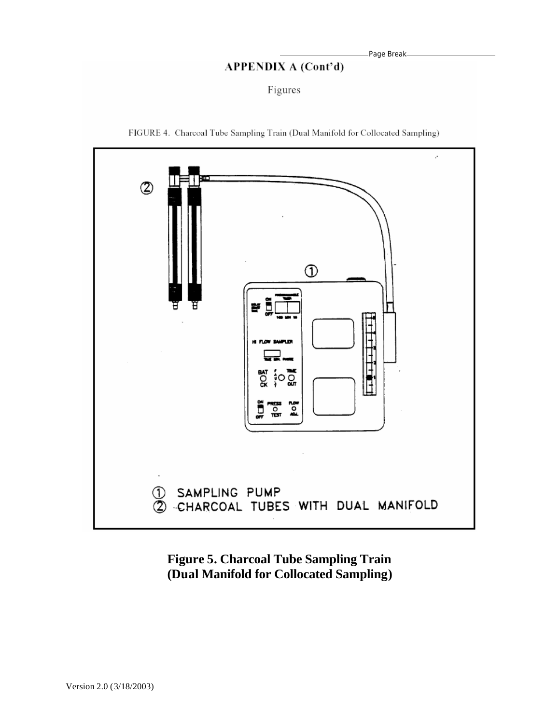## **APPENDIX A (Cont'd)**

Figures



FIGURE 4. Charcoal Tube Sampling Train (Dual Manifold for Collocated Sampling)

**Figure 5. Charcoal Tube Sampling Train (Dual Manifold for Collocated Sampling)**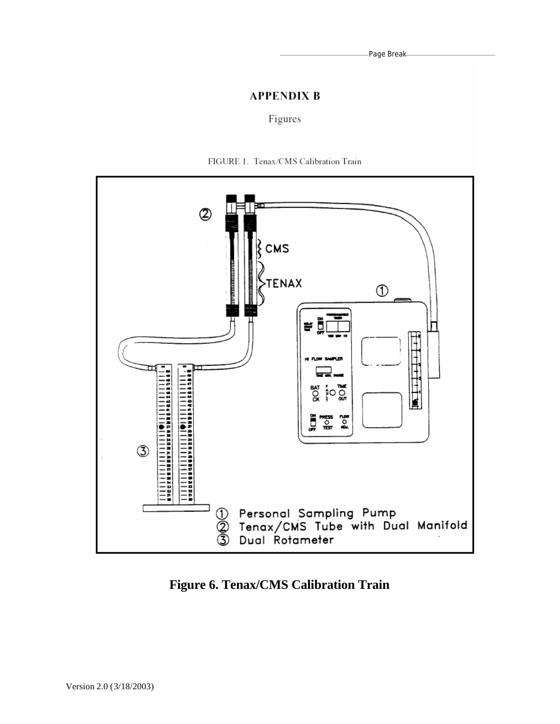Page Break

# **APPENDIX B**

## Figures



FIGURE 1. Tenax/CMS Calibration Train

**Figure 6. Tenax/CMS Calibration Train**